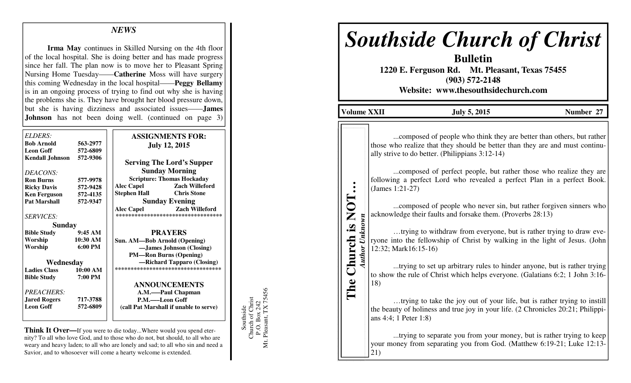# *NEWS*

**Irma May** continues in Skilled Nursing on the 4th floor of the local hospital. She is doing better and has made progress since her fall. The plan now is to move her to Pleasant Spring Nursing Home Tuesday——**Catherine** Moss will have surgery this coming Wednesday in the local hospital——**Peggy Bellamy**  is in an ongoing process of trying to find out why she is having the problems she is. They have brought her blood pressure down, but she is having dizziness and associated issues——**James Johnson** has not been doing well. (continued on page 3)

| ELDERS:<br><b>Bob Arnold</b><br><b>Leon Goff</b> | 563-2977<br>572-6809 | <b>ASSIGNMENTS FOR:</b><br><b>July 12, 2015</b>                                  |  |  |
|--------------------------------------------------|----------------------|----------------------------------------------------------------------------------|--|--|
| <b>Kendall Johnson</b>                           | 572-9306             | <b>Serving The Lord's Supper</b>                                                 |  |  |
| DEACONS:                                         |                      | <b>Sunday Morning</b>                                                            |  |  |
| <b>Ron Burns</b>                                 | 577-9978             | <b>Scripture: Thomas Hockaday</b>                                                |  |  |
| <b>Ricky Davis</b>                               | 572-9428             | <b>Zach Willeford</b><br><b>Alec Capel</b>                                       |  |  |
| <b>Ken Ferguson</b>                              | 572-4135             | <b>Chris Stone</b><br>Stephen Hall                                               |  |  |
| <b>Pat Marshall</b>                              | 572-9347             | <b>Sunday Evening</b>                                                            |  |  |
| <b>SERVICES:</b>                                 |                      | <b>Alec Capel</b><br><b>Zach Willeford</b><br>********************************** |  |  |
| <b>Sunday</b>                                    |                      |                                                                                  |  |  |
| <b>Bible Study</b>                               | 9:45AM               | <b>PRAYERS</b>                                                                   |  |  |
| Worship                                          | 10:30 AM             | Sun. AM—Bob Arnold (Opening)                                                     |  |  |
| Worship                                          | $6:00 \text{ PM}$    | -James Johnson (Closing)                                                         |  |  |
|                                                  |                      | <b>PM—Ron Burns (Opening)</b>                                                    |  |  |
| Wednesday                                        |                      | -Richard Tapparo (Closing)                                                       |  |  |
| <b>Ladies Class</b>                              | 10:00 AM             | ***********************************                                              |  |  |
| <b>Bible Study</b>                               | 7:00 PM              |                                                                                  |  |  |
|                                                  |                      | <b>ANNOUNCEMENTS</b>                                                             |  |  |
| PREACHERS:                                       |                      | A.M.——Paul Chapman                                                               |  |  |
| <b>Jared Rogers</b>                              | 717-3788             | P.M.——Leon Goff                                                                  |  |  |
| <b>Leon Goff</b>                                 | 572-6809             | (call Pat Marshall if unable to serve)                                           |  |  |
|                                                  |                      |                                                                                  |  |  |

**Think It Over—**If you were to die today...Where would you spend eternity? To all who love God, and to those who do not, but should, to all who are weary and heavy laden; to all who are lonely and sad; to all who sin and need a Savior, and to whosoever will come a hearty welcome is extended.

Southside<br>Church of Christ<br>P.O. Box 242<br>Mt. Pleasant, TX 75456 Mt. Pleasant, TX 75456 Church of Christ P.O. Box 242 Southside

# *Southside Church of Christ*

**Bulletin 1220 E. Ferguson Rd. Mt. Pleasant, Texas 75455 (903) 572-2148 Website: www.thesouthsidechurch.com** 

| 'olume XXII |  |
|-------------|--|
|             |  |
|             |  |

**The Church is NOT…** *Author Unknown* 

The

**Author Unknown** 

Church is NOT

 $\ddot{\bullet}$ 

**Volume XXIII 3, 2015 Number 27** 

...composed of people who think they are better than others, but rather those who realize that they should be better than they are and must continually strive to do better. (Philippians 3:12-14)

 ...composed of perfect people, but rather those who realize they are following a perfect Lord who revealed a perfect Plan in a perfect Book. (James 1:21-27)

 ...composed of people who never sin, but rather forgiven sinners who acknowledge their faults and forsake them. (Proverbs 28:13)

 …trying to withdraw from everyone, but is rather trying to draw everyone into the fellowship of Christ by walking in the light of Jesus. (John 12:32; Mark16:15-16)

 ...trying to set up arbitrary rules to hinder anyone, but is rather trying to show the rule of Christ which helps everyone. (Galatians 6:2; 1 John 3:16-18)

 …trying to take the joy out of your life, but is rather trying to instill the beauty of holiness and true joy in your life. (2 Chronicles 20:21; Philippians 4:4; 1 Peter 1:8)

 ...trying to separate you from your money, but is rather trying to keep your money from separating you from God. (Matthew 6:19-21; Luke 12:13-21)